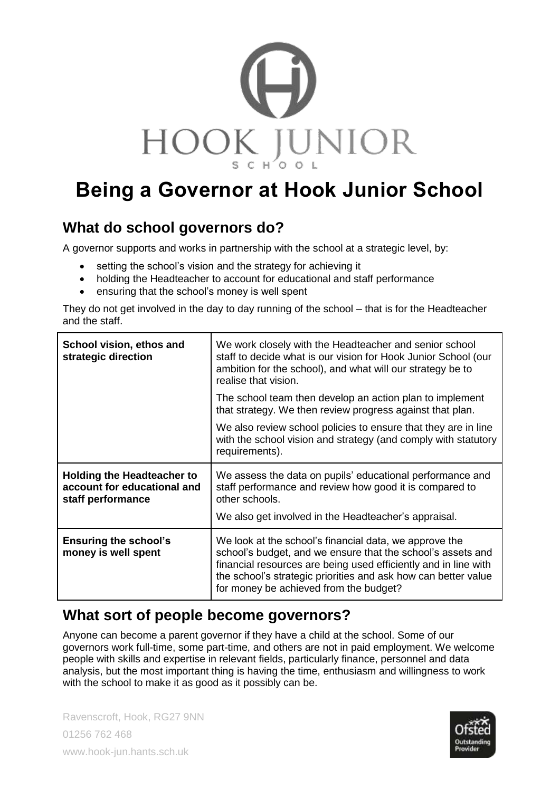

# **Being a Governor at Hook Junior School**

## **What do school governors do?**

A governor supports and works in partnership with the school at a strategic level, by:

- setting the school's vision and the strategy for achieving it
- holding the Headteacher to account for educational and staff performance
- ensuring that the school's money is well spent

They do not get involved in the day to day running of the school – that is for the Headteacher and the staff.

| School vision, ethos and<br>strategic direction                                       | We work closely with the Headteacher and senior school<br>staff to decide what is our vision for Hook Junior School (our<br>ambition for the school), and what will our strategy be to<br>realise that vision.                                                                                       |
|---------------------------------------------------------------------------------------|------------------------------------------------------------------------------------------------------------------------------------------------------------------------------------------------------------------------------------------------------------------------------------------------------|
|                                                                                       | The school team then develop an action plan to implement<br>that strategy. We then review progress against that plan.                                                                                                                                                                                |
|                                                                                       | We also review school policies to ensure that they are in line<br>with the school vision and strategy (and comply with statutory<br>requirements).                                                                                                                                                   |
| <b>Holding the Headteacher to</b><br>account for educational and<br>staff performance | We assess the data on pupils' educational performance and<br>staff performance and review how good it is compared to<br>other schools.<br>We also get involved in the Headteacher's appraisal.                                                                                                       |
| <b>Ensuring the school's</b><br>money is well spent                                   | We look at the school's financial data, we approve the<br>school's budget, and we ensure that the school's assets and<br>financial resources are being used efficiently and in line with<br>the school's strategic priorities and ask how can better value<br>for money be achieved from the budget? |

## **What sort of people become governors?**

Anyone can become a parent governor if they have a child at the school. Some of our governors work full-time, some part-time, and others are not in paid employment. We welcome people with skills and expertise in relevant fields, particularly finance, personnel and data analysis, but the most important thing is having the time, enthusiasm and willingness to work with the school to make it as good as it possibly can be.

Ravenscroft, Hook, RG27 9NN 01256 762 468 www.hook-jun.hants.sch.uk